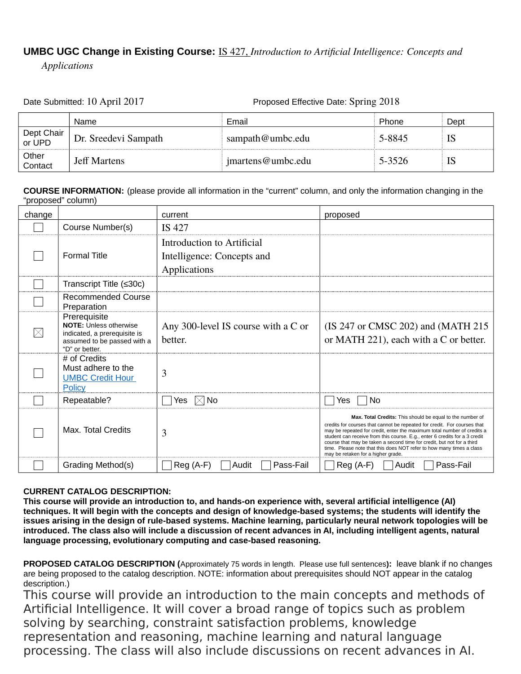## **UMBC UGC Change in Existing Course:** IS 427, *Introduction to Artificial Intelligence: Concepts and*

*Applications*

Date Submitted: 10 April 2017 Proposed Effective Date: Spring 2018

|                      | Name                 | Email             | Phone  | Dept |
|----------------------|----------------------|-------------------|--------|------|
| Dept Chair<br>or UPD | Dr. Sreedevi Sampath | sampath@umbc.edu  | 5-8845 | IS   |
| Other<br>Contact     | <b>Jeff Martens</b>  | jmartens@umbc.edu | 5-3526 | IS   |

**COURSE INFORMATION:** (please provide all information in the "current" column, and only the information changing in the "proposed" column)

| change |                                                                                                                                | current                                                                  | proposed                                                                                                                                                                                                                                                                                                                                                                                                                                                                               |
|--------|--------------------------------------------------------------------------------------------------------------------------------|--------------------------------------------------------------------------|----------------------------------------------------------------------------------------------------------------------------------------------------------------------------------------------------------------------------------------------------------------------------------------------------------------------------------------------------------------------------------------------------------------------------------------------------------------------------------------|
|        | Course Number(s)                                                                                                               | IS 427                                                                   |                                                                                                                                                                                                                                                                                                                                                                                                                                                                                        |
|        | <b>Formal Title</b>                                                                                                            | Introduction to Artificial<br>Intelligence: Concepts and<br>Applications |                                                                                                                                                                                                                                                                                                                                                                                                                                                                                        |
|        | Transcript Title (≤30c)                                                                                                        |                                                                          |                                                                                                                                                                                                                                                                                                                                                                                                                                                                                        |
|        | <b>Recommended Course</b><br>Preparation                                                                                       |                                                                          |                                                                                                                                                                                                                                                                                                                                                                                                                                                                                        |
|        | Prerequisite<br><b>NOTE:</b> Unless otherwise<br>indicated, a prerequisite is<br>assumed to be passed with a<br>"D" or better. | Any 300-level IS course with a C or<br>better.                           | (IS 247 or CMSC 202) and (MATH 215<br>or MATH 221), each with a C or better.                                                                                                                                                                                                                                                                                                                                                                                                           |
|        | # of Credits<br>Must adhere to the<br><b>UMBC Credit Hour</b><br>Policy                                                        | 3                                                                        |                                                                                                                                                                                                                                                                                                                                                                                                                                                                                        |
|        | Repeatable?                                                                                                                    | Yes.<br>IXI No                                                           | Yes<br>Nο                                                                                                                                                                                                                                                                                                                                                                                                                                                                              |
|        | Max. Total Credits                                                                                                             | 3                                                                        | Max. Total Credits: This should be equal to the number of<br>credits for courses that cannot be repeated for credit. For courses that<br>may be repeated for credit, enter the maximum total number of credits a<br>student can receive from this course. E.g., enter 6 credits for a 3 credit<br>course that may be taken a second time for credit, but not for a third<br>time. Please note that this does NOT refer to how many times a class<br>may be retaken for a higher grade. |
|        | Grading Method(s)                                                                                                              | Pass-Fail<br>$Req(A-F)$<br>Audit                                         | Pass-Fail<br>$Req(A-F)$<br>Audit                                                                                                                                                                                                                                                                                                                                                                                                                                                       |

## **CURRENT CATALOG DESCRIPTION:**

**This course will provide an introduction to, and hands-on experience with, several artificial intelligence (AI) techniques. It will begin with the concepts and design of knowledge-based systems; the students will identify the issues arising in the design of rule-based systems. Machine learning, particularly neural network topologies will be introduced. The class also will include a discussion of recent advances in AI, including intelligent agents, natural language processing, evolutionary computing and case-based reasoning.**

**PROPOSED CATALOG DESCRIPTION (**Approximately 75 words in length. Please use full sentences**):** leave blank if no changes are being proposed to the catalog description. NOTE: information about prerequisites should NOT appear in the catalog description.)

This course will provide an introduction to the main concepts and methods of Artificial Intelligence. It will cover a broad range of topics such as problem solving by searching, constraint satisfaction problems, knowledge representation and reasoning, machine learning and natural language processing. The class will also include discussions on recent advances in AI.